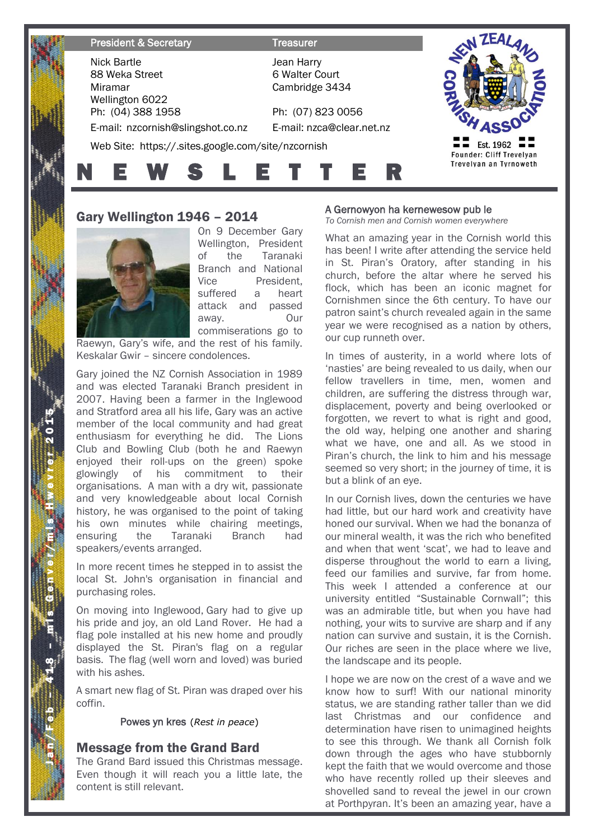#### **President & Secretary Treasurer**

Nick Bartle 88 Weka Street Miramar Wellington 6022 Ph: (04) 388 1958 E-mail: nzcornish@slingshot.co.nz

Cambridge 3434 Ph: (07) 823 0056

Jean Harry 6 Walter Court

E-mail: nzca@clear.net.nz

Web Site: https://.sites.google.com/site/nzcornish



# Gary Wellington 1946 – 2014



On 9 December Gary Wellington, President of the Taranaki Branch and National Vice President, suffered a heart attack and passed away. Our commiserations go to

N E W S L E T T E R

Raewyn, Gary's wife, and the rest of his family. Keskalar Gwir – sincere condolences.

Gary joined the NZ Cornish Association in 1989 and was elected Taranaki Branch president in 2007. Having been a farmer in the Inglewood and Stratford area all his life, Gary was an active member of the local community and had great enthusiasm for everything he did. The Lions Club and Bowling Club (both he and Raewyn enjoyed their roll-ups on the green) spoke glowingly of his commitment to their organisations. A man with a dry wit, passionate and very knowledgeable about local Cornish history, he was organised to the point of taking his own minutes while chairing meetings, ensuring the Taranaki Branch had speakers/events arranged.

In more recent times he stepped in to assist the local St. John's organisation in financial and purchasing roles.

On moving into Inglewood, Gary had to give up his pride and joy, an old Land Rover. He had a flag pole installed at his new home and proudly displayed the St. Piran's flag on a regular basis. The flag (well worn and loved) was buried with his ashes.

A smart new flag of St. Piran was draped over his coffin.

Powes yn kres (*Rest in peace*)

# Message from the Grand Bard

 $\tan /$  F e b – 41

8 – m i s G e n v e r / m i s H w e v r e r 201

ئی

The Grand Bard issued this Christmas message. Even though it will reach you a little late, the content is still relevant.

# A Gernowyon ha kernewesow pub le

*To Cornish men and Cornish women everywhere*

What an amazing year in the Cornish world this has been! I write after attending the service held in St. Piran's Oratory, after standing in his church, before the altar where he served his flock, which has been an iconic magnet for Cornishmen since the 6th century. To have our patron saint's church revealed again in the same year we were recognised as a nation by others, our cup runneth over.

In times of austerity, in a world where lots of 'nasties' are being revealed to us daily, when our fellow travellers in time, men, women and children, are suffering the distress through war, displacement, poverty and being overlooked or forgotten, we revert to what is right and good, the old way, helping one another and sharing what we have, one and all. As we stood in Piran's church, the link to him and his message seemed so very short; in the journey of time, it is but a blink of an eye.

In our Cornish lives, down the centuries we have had little, but our hard work and creativity have honed our survival. When we had the bonanza of our mineral wealth, it was the rich who benefited and when that went 'scat', we had to leave and disperse throughout the world to earn a living, feed our families and survive, far from home. This week I attended a conference at our university entitled "Sustainable Cornwall"; this was an admirable title, but when you have had nothing, your wits to survive are sharp and if any nation can survive and sustain, it is the Cornish. Our riches are seen in the place where we live, the landscape and its people.

I hope we are now on the crest of a wave and we know how to surf! With our national minority status, we are standing rather taller than we did last Christmas and our confidence and determination have risen to unimagined heights to see this through. We thank all Cornish folk down through the ages who have stubbornly kept the faith that we would overcome and those who have recently rolled up their sleeves and shovelled sand to reveal the jewel in our crown at Porthpyran. It's been an amazing year, have a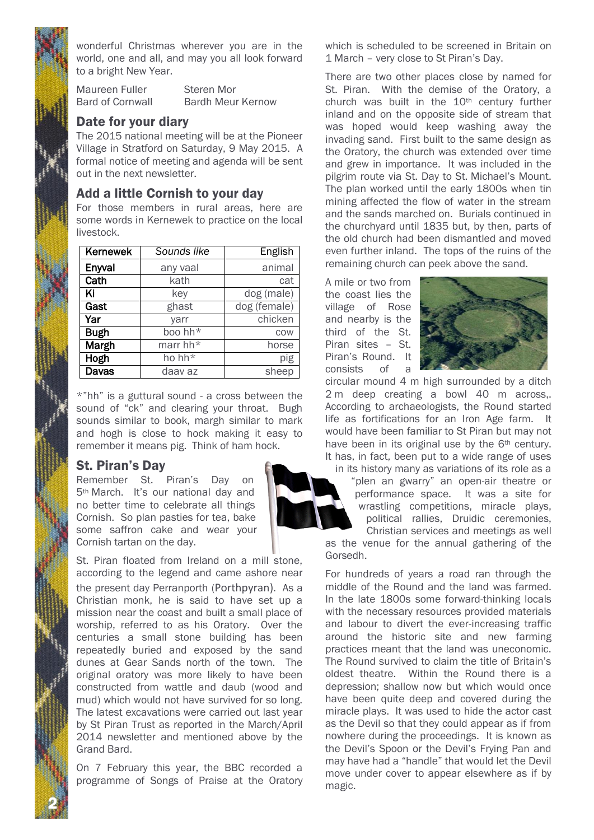wonderful Christmas wherever you are in the world, one and all, and may you all look forward to a bright New Year.

Maureen Fuller Steren Mor Bard of Cornwall Bardh Meur Kernow

## Date for your diary

The 2015 national meeting will be at the Pioneer Village in Stratford on Saturday, 9 May 2015. A formal notice of meeting and agenda will be sent out in the next newsletter.

## Add a little Cornish to your day

For those members in rural areas, here are some words in Kernewek to practice on the local livestock.

| Kernewek     | Sounds like | English      |
|--------------|-------------|--------------|
| Enyval       | any vaal    | animal       |
| Cath         | kath        | cat          |
| Ki           | key         | dog (male)   |
| Gast         | ghast       | dog (female) |
| Yar          | yarr        | chicken      |
| <b>Bugh</b>  | boo hh*     | COW          |
| <b>Margh</b> | marr hh*    | horse        |
| Hogh         | ho hh*      | pig          |
| <b>Davas</b> | daav az     | sheep        |

\*"hh" is a guttural sound - a cross between the sound of "ck" and clearing your throat. Bugh sounds similar to book, margh similar to mark and hogh is close to hock making it easy to remember it means pig. Think of ham hock.

#### St. Piran's Day

Remember St. Piran's Day on 5th March. It's our national day and no better time to celebrate all things Cornish. So plan pasties for tea, bake some saffron cake and wear your Cornish tartan on the day.

St. Piran floated from Ireland on a mill stone, according to the legend and came ashore near the present day Perranporth (Porthpyran). As a Christian monk, he is said to have set up a mission near the coast and built a small place of worship, referred to as his Oratory. Over the centuries a small stone building has been repeatedly buried and exposed by the sand dunes at Gear Sands north of the town. The original oratory was more likely to have been constructed from wattle and daub (wood and mud) which would not have survived for so long. The latest excavations were carried out last year by St Piran Trust as reported in the March/April 2014 newsletter and mentioned above by the Grand Bard.

On 7 February this year, the BBC recorded a programme of Songs of Praise at the Oratory which is scheduled to be screened in Britain on 1 March – very close to St Piran's Day.

There are two other places close by named for St. Piran. With the demise of the Oratory, a church was built in the 10<sup>th</sup> century further inland and on the opposite side of stream that was hoped would keep washing away the invading sand. First built to the same design as the Oratory, the church was extended over time and grew in importance. It was included in the pilgrim route via St. Day to St. Michael's Mount. The plan worked until the early 1800s when tin mining affected the flow of water in the stream and the sands marched on. Burials continued in the churchyard until 1835 but, by then, parts of the old church had been dismantled and moved even further inland. The tops of the ruins of the remaining church can peek above the sand.

A mile or two from the coast lies the village of Rose and nearby is the third of the St. Piran sites – St. Piran's Round. It consists of a



circular mound 4 m high surrounded by a ditch 2 m deep creating a bowl 40 m across,. According to archaeologists, the Round started life as fortifications for an Iron Age farm. It would have been familiar to St Piran but may not have been in its original use by the 6<sup>th</sup> century. It has, in fact, been put to a wide range of uses

in its history many as variations of its role as a "plen an gwarry" an open-air theatre or performance space. It was a site for wrastling competitions, miracle plays, political rallies, Druidic ceremonies,

Christian services and meetings as well as the venue for the annual gathering of the Gorsedh.

For hundreds of years a road ran through the middle of the Round and the land was farmed. In the late 1800s some forward-thinking locals with the necessary resources provided materials and labour to divert the ever-increasing traffic around the historic site and new farming practices meant that the land was uneconomic. The Round survived to claim the title of Britain's oldest theatre. Within the Round there is a depression; shallow now but which would once have been quite deep and covered during the miracle plays. It was used to hide the actor cast as the Devil so that they could appear as if from nowhere during the proceedings. It is known as the Devil's Spoon or the Devil's Frying Pan and may have had a "handle" that would let the Devil move under cover to appear elsewhere as if by magic.



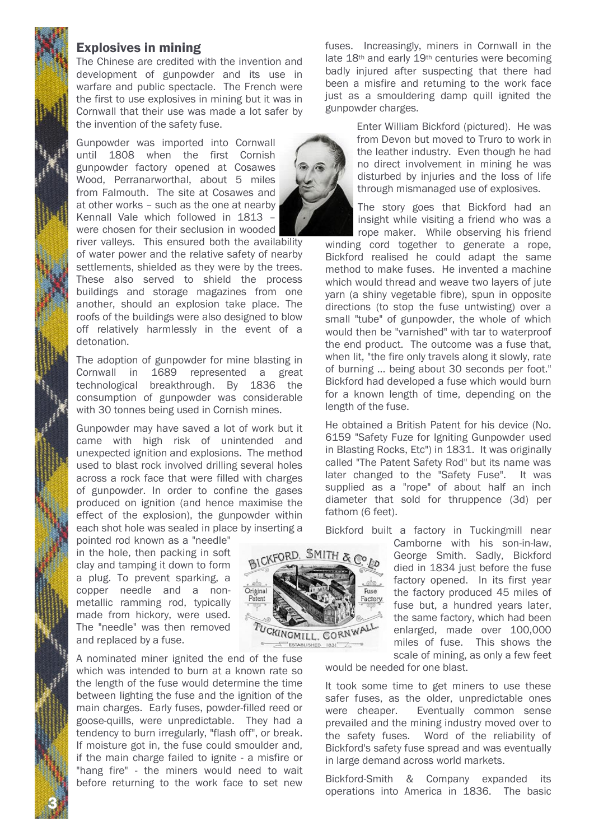# Explosives in mining

The Chinese are credited with the invention and development of gunpowder and its use in warfare and public spectacle. The French were the first to use explosives in mining but it was in Cornwall that their use was made a lot safer by the invention of the safety fuse.

Gunpowder was imported into Cornwall until 1808 when the first Cornish gunpowder factory opened at Cosawes Wood, Perranarworthal, about 5 miles from Falmouth. The site at Cosawes and at other works – such as the one at nearby Kennall Vale which followed in 1813 – were chosen for their seclusion in wooded

river valleys. This ensured both the availability of water power and the relative safety of nearby settlements, shielded as they were by the trees. These also served to shield the process buildings and storage magazines from one another, should an explosion take place. The roofs of the buildings were also designed to blow off relatively harmlessly in the event of a detonation.

The adoption of gunpowder for mine blasting in Cornwall in 1689 represented a great technological breakthrough. By 1836 the consumption of gunpowder was considerable with 30 tonnes being used in Cornish mines.

Gunpowder may have saved a lot of work but it came with high risk of unintended and unexpected ignition and explosions. The method used to blast rock involved drilling several holes across a rock face that were filled with charges of gunpowder. In order to confine the gases produced on ignition (and hence maximise the effect of the explosion), the gunpowder within each shot hole was sealed in place by inserting a

pointed rod known as a "needle" in the hole, then packing in soft clay and tamping it down to form a plug. To prevent sparking, a copper needle and a nonmetallic ramming rod, typically made from hickory, were used. The "needle" was then removed and replaced by a fuse.

3 N

A nominated miner ignited the end of the fuse which was intended to burn at a known rate so the length of the fuse would determine the time between lighting the fuse and the ignition of the main charges. Early fuses, powder-filled reed or goose-quills, were unpredictable. They had a tendency to burn irregularly, "flash off", or break. If moisture got in, the fuse could smoulder and, if the main charge failed to ignite - a misfire or "hang fire" - the miners would need to wait before returning to the work face to set new

fuses. Increasingly, miners in Cornwall in the late 18th and early 19th centuries were becoming badly injured after suspecting that there had been a misfire and returning to the work face just as a smouldering damp quill ignited the gunpowder charges.

> Enter William Bickford (pictured). He was from Devon but moved to Truro to work in the leather industry. Even though he had no direct involvement in mining he was disturbed by injuries and the loss of life through mismanaged use of explosives.

> The story goes that Bickford had an insight while visiting a friend who was a

rope maker. While observing his friend winding cord together to generate a rope, Bickford realised he could adapt the same method to make fuses. He invented a machine which would thread and weave two layers of jute yarn (a shiny vegetable fibre), spun in opposite directions (to stop the fuse untwisting) over a small "tube" of gunpowder, the whole of which would then be "varnished" with tar to waterproof the end product. The outcome was a fuse that, when lit, "the fire only travels along it slowly, rate of burning ... being about 30 seconds per foot." Bickford had developed a fuse which would burn for a known length of time, depending on the length of the fuse.

He obtained a British Patent for his device (No. 6159 "Safety Fuze for Igniting Gunpowder used in Blasting Rocks, Etc") in 1831. It was originally called "The Patent Safety Rod" but its name was later changed to the "Safety Fuse". It was supplied as a "rope" of about half an inch diameter that sold for thruppence (3d) per fathom (6 feet).

Bickford built a factory in Tuckingmill near

Camborne with his son-in-law, George Smith. Sadly, Bickford died in 1834 just before the fuse factory opened. In its first year the factory produced 45 miles of fuse but, a hundred years later, the same factory, which had been enlarged, made over 100,000 miles of fuse. This shows the scale of mining, as only a few feet

would be needed for one blast.

It took some time to get miners to use these safer fuses, as the older, unpredictable ones were cheaper. Eventually common sense prevailed and the mining industry moved over to the safety fuses. Word of the reliability of Bickford's safety fuse spread and was eventually in large demand across world markets.

Bickford-Smith & Company expanded its operations into America in 1836. The basic